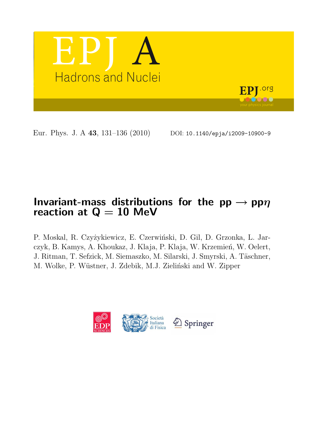

Eur. Phys. J. A 43, 131-136 (2010) DOI: 10.1140/epja/i2009-10900-9

# Invariant-mass distributions for the  $pp \rightarrow pp\eta$ reaction at  $Q = 10$  MeV

P. Moskal, R. Czyżykiewicz, E. Czerwiński, D. Gil, D. Grzonka, L. Jarczyk, B. Kamys, A. Khoukaz, J. Klaja, P. Klaja, W. Krzemień, W. Oelert, J. Ritman, T. Sefzick, M. Siemaszko, M. Silarski, J. Smyrski, A. Täschner, M. Wolke, P. Wüstner, J. Zdebik, M.J. Zieliński and W. Zipper

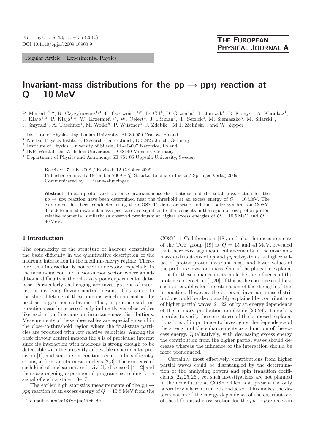Regular Article – Experimental Physics

## Invariant-mass distributions for the  $pp \rightarrow pp\eta$  reaction at  $Q = 10$  MeV

P. Moskal<sup>1,2,a</sup>, R. Czyżykiewicz<sup>1,3</sup>, E. Czerwiński<sup>1,2</sup>, D. Gil<sup>1</sup>, D. Grzonka<sup>2</sup>, L. Jarczyk<sup>1</sup>, B. Kamys<sup>1</sup>, A. Khoukaz<sup>4</sup>, J. Klaja<sup>1,2</sup>, P. Klaja<sup>1,2</sup>, W. Krzemień<sup>1,2</sup>, W. Oelert<sup>2</sup>, J. Ritman<sup>2</sup>, T. Sefzick<sup>2</sup>, M. Siemaszko<sup>3</sup>, M. Silarski<sup>1</sup>, J. Smyrski<sup>1</sup>, A. Täschner<sup>4</sup>, M. Wolke<sup>5</sup>, P. Wüstner<sup>2</sup>, J. Zdebik<sup>1</sup>, M.J. Zieliński<sup>1</sup>, and W. Zipper<sup>4</sup>

<sup>1</sup> Institute of Physics, Jagellonian University, PL-30-059 Cracow, Poland

 $^2$ Nuclear Physics Institute, Research Center Jülich, D-52425 Jülich, Germany

3 Institute of Physics, University of Silesia, PL-40-007 Katowice, Poland

<sup>4</sup> IKP, Westfälische Wilhelms-Universität, D-48149 Münster, Germany

<sup>5</sup> Department of Physics and Astronomy, SE-751 05 Uppsala University, Sweden

Received: 7 July 2008 / Revised: 12 October 2009

Published online: 17 December 2009 – © Società Italiana di Fisica / Springer-Verlag 2009 Communicated by P. Braun-Munzinger

**Abstract.** Proton-proton and proton- $\eta$  invariant-mass distributions and the total cross-section for the  $pp \rightarrow pp\eta$  reaction have been determined near the threshold at an excess energy of  $Q = 10$  MeV. The experiment has been conducted using the COSY-11 detector setup and the cooler synchrotron COSY. The determined invariant-mass spectra reveal significant enhancements in the region of low proton-proton relative momenta, similarly as observed previously at higher excess energies of  $Q = 15.5 \text{ MeV}$  and  $Q =$ 40 MeV.

### 1 Introduction

The complexity of the structure of hadrons constitutes the basic difficulty in the quantitative description of the hadronic interaction in the medium-energy regime. Therefore, this interaction is not well understood especially in the meson-nucleon and meson-meson sector, where an additional difficulty is the relatively poor experimental database. Particularly challenging are investigations of interactions involving flavour-neutral mesons. This is due to the short lifetime of these mesons which can neither be used as targets nor as beams. Thus, in practice such interactions can be accessed only indirectly via observables like excitation functions or invariant-mass distributions. Measurements of these observables are especially useful in the close-to-threshold region where the final-state particles are produced with low relative velocities. Among the basic flavour neutral mesons the  $\eta$  is of particular interest since its interaction with nucleons is strong enough to be detectable with the presently achievable experimental precision [1], and since its interaction seems to be sufficently strong to form an eta-mesic nucleus [2, 3]. The existence of such kind of nuclear matter is vividly discussed [4–12] and there are ongoing experimental programs searching for a signal of such a state [13–17].

The earlier high statistics measurements of the  $pp \rightarrow$ ppn reaction at an excess energy of  $Q = 15.5 \,\text{MeV}$  from the COSY-11 Collaboration [18], and also the measurements of the TOF group [19] at  $Q = 15$  and 41 MeV, revealed that there exist significant enhancements in the invariantmass distributions of  $pp$  and  $pp$  subsystems at higher values of proton-proton invariant mass and lower values of the proton- $\eta$  invariant mass. One of the plausible explanations for these enhancements could be the influence of the proton- $\eta$  interaction [1, 20]. If this is the case one could use such observables for the estimation of the strength of this interaction. However, the observed invariant-mass distributions could be also plausibly explained by contributions of higher partial waves [21, 22] or by an energy dependence of the primary production amplitude [23, 24]. Therefore, in order to verify the correctness of the proposed explanations it is of importance to investigate the dependence of the strength of the enhancements as a function of the excess energy. Qualitatively, with decreasing excess energy the contribution from the higher partial waves should decrease whereas the influence of the interaction should be more pronounced.

Certainly, most effectively, contributions from higher partial waves could be disentangled by the determination of the analysing powers and spin transition coefficients [22, 25, 26], yet such investigations are not planned in the near future at COSY which is at present the only laboratory where it can be conducted. This makes the determination of the energy dependence of the distributions of the differential cross-section for the  $pp \rightarrow pp\eta$  reaction

<sup>&</sup>lt;sup>a</sup> e-mail: p.moskal@fz-juelich.de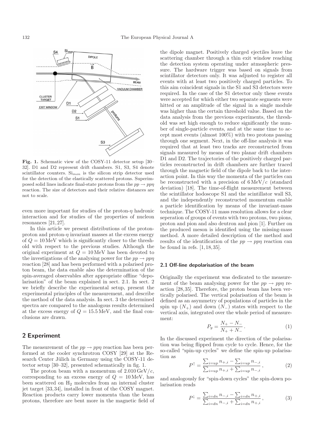

Fig. 1. Schematic view of the COSY-11 detector setup [30– 32]. D1 and D2 represent drift chambers. S1, S3, S4 denote scintillator counters.  $Si_{mon}$  is the silicon strip detector used for the detection of the elastically scattered protons. Superimposed solid lines indicate final-state protons from the  $pp \rightarrow pp\eta$ reaction. The size of detectors and their relative distances are not to scale.

even more important for studies of the proton- $\eta$  hadronic interaction and for studies of the properties of nucleon resonances [21, 27].

In this article we present distributions of the protonproton and proton- $\eta$  invariant masses at the excess energy of  $Q = 10$  MeV which is significantly closer to the threshold with respect to the previous studies. Although the original experiment at  $Q = 10 \,\text{MeV}$  has been devoted to the investigations of the analysing power for the  $pp \rightarrow pp\eta$ reaction [28] and has been performed with a polarised proton beam, the data enable also the determination of the spin-averaged observables after appropriate offline "depolarisation" of the beam explained in sect. 2.1. In sect. 2 we briefly describe the experimental setup, present the experimental principles of the measurement, and describe the method of the data analysis. In sect. 3 the determined spectra are compared to the analogous results determined at the excess energy of  $Q = 15.5 \,\text{MeV}$ , and the final conclusions are drawn.

## 2 Experiment

The measurement of the  $pp \to pp\eta$  reaction has been performed at the cooler synchrotron COSY [29] at the Research Center Jülich in Germany using the COSY-11 detector setup [30–32], presented schematically in fig. 1.

The proton beam with a momentum of  $2.010 \,\mathrm{GeV}/c$ , corresponding to an excess energy of  $Q = 10 \,\text{MeV}$ , has been scattered on  $H_2$  molecules from an internal cluster jet target [33, 34], installed in front of the COSY magnet. Reaction products carry lower momenta than the beam protons, therefore are bent more in the magnetic field of the dipole magnet. Positively charged ejectiles leave the scattering chamber through a thin exit window reaching the detection system operating under atmospheric pressure. The hardware trigger was based on signals from scintillator detectors only. It was adjusted to register all events with at least two positively charged particles. To this aim coincident signals in the S1 and S3 detectors were required. In the case of the S1 detector only these events were accepted for which either two separate segments were hitted or an amplitude of the signal in a single module was higher than the certain threshold value. Based on the data analysis from the previous experiments, the threshold was set high enough to reduce significantly the number of single-particle events, and at the same time to accept most events (almost 100%) with two protons passing through one segment. Next, in the off-line analysis it was required that at least two tracks are reconstructed from signals measured by means of two planar drift chambers D1 and D2. The trajectories of the positively charged particles reconstructed in drift chambers are further traced through the magnetic field of the dipole back to the interaction point. In this way the momenta of the particles can be reconstructed with a precision of  $6 \,\mathrm{MeV}/c$  (standard deviation) [18]. The time-of-flight measurement between the scintillator hodoscope S1 and the scintillator wall S3, and the independently reconstructed momentum enable a particle identification by means of the invariant-mass technique. The COSY-11 mass resolution allows for a clear seperation of groups of events with two protons, two pions, proton and pion and also deutron and pion [1]. Further on the produced meson is identified using the missing-mass method. A more detailed description of the method and results of the identification of the  $pp \rightarrow pp\eta$  reaction can be found in refs. [1, 18, 35].

#### 2.1 Off-line depolarisation of the beam

Originally the experiment was dedicated to the measurement of the beam analysing power for the  $pp \rightarrow pp\eta$  reaction [28, 35]. Therefore, the proton beam has been vertically polarised. The vertical polarisation of the beam is defined as an asymmetry of populations of particles in the spin up  $(N_+)$  and down  $(N_-)$  states with respect to the vertical axis, integrated over the whole period of measurement:

$$
P_y = \frac{N_+ - N_-}{N_+ + N_-} \,. \tag{1}
$$

In the discussed experiment the direction of the polarisation was being flipped from cycle to cycle. Hence, for the so-called "spin-up cycles" we define the spin-up polarisation as

$$
P^{\uparrow} = \frac{\sum_{i=up} n_{+,i} - \sum_{i=up} n_{-,i}}{\sum_{i=up} n_{+,i} + \sum_{i=up} n_{-,i}},
$$
 (2)

and analogously for "spin-down cycles" the spin-down polarisation reads

$$
P^{\downarrow} = \frac{\sum_{i=dn} n_{-,i} - \sum_{i=dn} n_{+,i}}{\sum_{i=dn} n_{-,i} + \sum_{i=dn} n_{+,i}},
$$
(3)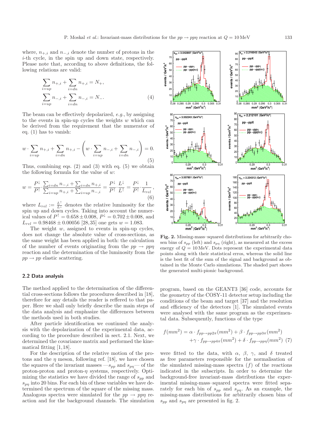where,  $n_{+,i}$  and  $n_{-,i}$  denote the number of protons in the i-th cycle, in the spin up and down state, respectively. Please note that, according to above definitions, the following relations are valid:

$$
\sum_{i=up} n_{+,i} + \sum_{i=dn} n_{+,i} = N_+, \sum_{i=up} n_{-,i} + \sum_{i=dn} n_{-,i} = N_-. \tag{4}
$$

The beam can be effectively depolarized, e.g., by assigning to the events in spin-up cycles the weights  $w$  which can be derived from the requirement that the numerator of eq. (1) has to vanish:

$$
w \cdot \sum_{i=up} n_{+,i} + \sum_{i=dn} n_{+,i} - \left(w \cdot \sum_{i=up} n_{-,i} + \sum_{i=dn} n_{-,i}\right) = 0.
$$
\n(5)

Thus, combining eqs.  $(2)$  and  $(3)$  with eq.  $(5)$  we obtain the following formula for the value of  $w$ :

$$
w = \frac{P^{\downarrow}}{P^{\uparrow}} \cdot \frac{\sum_{i=dn} n_{-,i} + \sum_{i=dn} n_{+,i}}{\sum_{i=up} n_{+,i} + \sum_{i=up} n_{-,i}} = \frac{P^{\downarrow}}{P^{\uparrow}} \cdot \frac{L^{\downarrow}}{L^{\uparrow}} = \frac{P^{\downarrow}}{P^{\uparrow}} \cdot \frac{1}{L_{rel}},
$$
(6)

where  $L_{rel} := \frac{L^{\dagger}}{L^{\dagger}}$  denotes the relative luminosity for the spin up and down cycles. Taking into account the numerical values of  $P^{\dagger} = 0.658 \pm 0.008$ ,  $P^{\dagger} = 0.702 \pm 0.008$ , and  $L_{rel} = 0.98468 \pm 0.00056$  [28,35] one gets  $w = 1.083$ .

The weight  $w$ , assigned to events in spin-up cycles, does not change the absolute value of cross-sections, as the same weight has been applied in both: the calculation of the number of events originating from the  $pp \rightarrow pp\eta$ reaction and the determination of the luminosity from the  $pp \rightarrow pp$  elastic scattering.

#### 2.2 Data analysis

The method applied to the determination of the differential cross-sections follows the procedures described in [18], therefore for any details the reader is reffered to that paper. Here we shall only briefly describe the main steps of the data analysis and emphasize the differences between the methods used in both studies.

After particle identification we continued the analysis with the depolarization of the experimental data, according to the procedure described in sect. 2.1. Next, we determined the covariance matrix and performed the kinematical fitting [1, 18].

For the description of the relative motion of the protons and the  $\eta$  meson, following ref. [18], we have chosen the squares of the invariant masses — $s_{pp}$  and  $s_{p\eta}$ — of the proton-proton and proton- $\eta$  systems, respectively. Optimizing the statistics we have divided the range of  $s_{pp}$  and  $s_{p\eta}$  into 20 bins. For each bin of these variables we have determined the spectrum of the square of the missing mass. Analogous spectra were simulated for the  $pp \rightarrow pp\eta$  reaction and for the background channels. The simulation



Fig. 2. Missing-mass–squared distributions for arbitrarily chosen bins of  $s_{pp}$  (left) and  $s_{pn}$  (right), as measured at the excess energy of  $Q = 10 \,\text{MeV}$ . Dots represent the experimental data points along with their statistical erros, whereas the solid line is the best fit of the sum of the signal and background as obtained in the Monte Carlo simulations. The shaded part shows the generated multi-pionic background.

program, based on the GEANT3 [36] code, accounts for the geometry of the COSY-11 detector setup including the conditions of the beam and target [37] and the resolution and efficiency of the detectors [1]. The simulated events were analysed with the same program as the experimental data. Subsequently, functions of the type

$$
f(mm2) = \alpha \cdot f_{pp \to pp2\pi}(mm2) + \beta \cdot f_{pp \to pp3\pi}(mm2)
$$

$$
+ \gamma \cdot f_{pp \to pp4\pi}(mm2) + \delta \cdot f_{pp \to pp\eta}(mm2) (7)
$$

were fitted to the data, with  $\alpha$ ,  $\beta$ ,  $\gamma$ , and  $\delta$  treated as free parameters responsible for the normalisation of the simulated missing-mass spectra  $(f)$  of the reactions indicated in the subscripts. In order to determine the background-free invariant-mass distributions the experimental missing-mass–squared spectra were fitted separately for each bin of  $s_{pp}$  and  $s_{pp}$ . As an example, the missing-mass distributions for arbitrarily chosen bins of  $s_{pp}$  and  $s_{pn}$  are presented in fig. 2.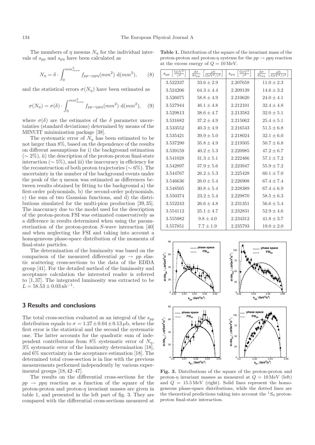The mumbers of  $\eta$  mesons  $N_{\eta}$  for the individual intervals of  $s_{pp}$  and  $s_{p\eta}$  have been calculated as

$$
N_{\eta} = \delta \cdot \int_0^{mm_{max}^2} f_{pp \to pp\eta}(mm^2) \, \mathrm{d}(mm^2), \qquad (8)
$$

and the statistical errors  $\sigma(N_n)$  have been estimated as

$$
\sigma(N_{\eta}) = \sigma(\delta) \cdot \int_0^{mm_{max}^2} f_{pp \to pp\eta}(mm^2) \, d(mm^2), \quad (9)
$$

where  $\sigma(\delta)$  are the estimates of the  $\delta$  parameter uncertainties (standard deviations) determined by means of the MINUIT minimization package [38].

The systematic error of  $N_n$  has been estimated to be not larger than 8%, based on the dependence of the results on different assumptions for i) the background estimation  $({\sim} 2\%)$ , ii) the description of the proton-proton final-state interaction ( $\sim$  5%), and iii) the inaccuracy in efficiency for the reconstruction of both proton trajectories ( $\sim 6\%$ ). The uncertainty in the number of the background events under the peak of the  $\eta$  meson was estimated as differences between results obtained by fitting to the background a) the first-order polynomials, b) the second-order polynomials, c) the sum of two Gaussian functions, and d) the distributions simulated for the multi-pion production [39, 35]. The inaccuracy due to the model used for the description of the proton-proton FSI was estimated conservatively as a difference in results determined when using the parameterization of the proton-proton S-wave interaction [40] and when neglecting the FSI and taking into account a homogeneous phase-space distribution of the momenta of final-state particles.

The determination of the luminosity was based on the comparison of the measured differential  $pp \rightarrow pp$  elastic scattering cross-sections to the data of the EDDA group [41]. For the detailed method of the luminosity and acceptance calculation the interested reader is referred to [1, 37]. The integrated luminosity was extracted to be  $L = 58.53 \pm 0.03 \,\mathrm{nb}^{-1}$ .

#### 3 Results and conclusions

The total cross-section evaluated as an integral of the  $s_{pp}$ distribution equals to  $\sigma = 1.27 \pm 0.04 \pm 0.13 \,\mu$ b, where the first error is the statistical and the second the systematic one. The latter accounts for the quadratic sum of independent contributions from 8% systematic error of  $N_n$ , 3% systematic error of the luminosity determination [18], and 6% uncertainty in the acceptance estimation [18]. The determined total cross-section is in line with the previous measurements performed independently by various experimental groups [18, 42–47].

The results on the differential cross-sections for the  $pp \rightarrow pp\eta$  reaction as a function of the square of the proton-proton and proton- $\eta$  invariant masses are given in table 1, and presented in the left part of fig. 3. They are compared with the differential cross-sections measured at

| $\frac{\text{GeV}^2}{c^4}$<br>$\sqrt{Spp}$ | $\frac{{\rm d}\sigma}{{\rm d}s_{pp}}$<br>$\left[\frac{\mu b}{\text{GeV}^2/c^4}\right]$ | $\left[\frac{\text{GeV}^2}{c^4}\right]$<br>$s_{p\eta}$ | $\frac{{\rm d}\sigma}{{\rm d}s_{p\eta}}$<br>$\left[\frac{\mu b}{\text{GeV}^2/c^4}\right]$ |
|--------------------------------------------|----------------------------------------------------------------------------------------|--------------------------------------------------------|-------------------------------------------------------------------------------------------|
| 3.522337                                   | $33.6 \pm 2.9$                                                                         | 2.207658                                               | $11.0 \pm 2.3$                                                                            |
| 3.524206                                   | $64.3 \pm 4.4$                                                                         | 2.209139                                               | $14.6 \pm 3.2$                                                                            |
| 3.526075                                   | $58.8 \pm 4.9$                                                                         | 2.210620                                               | $24.0 + 4.1$                                                                              |
| 3.527944                                   | $46.1 \pm 4.8$                                                                         | 2.212101                                               | $32.4 \pm 4.8$                                                                            |
| 3.529813                                   | $38.6 \pm 4.7$                                                                         | 2.213582                                               | $32.0 \pm 5.1$                                                                            |
| 3.531682                                   | $37.2 \pm 4.9$                                                                         | 2.215062                                               | $25.4 \pm 5.1$                                                                            |
| 3.533552                                   | $40.3 \pm 4.9$                                                                         | 2.216543                                               | $51.5 \pm 6.8$                                                                            |
| 3.535421                                   | $39.9 \pm 5.0$                                                                         | 2.218024                                               | $32.1 \pm 6.0$                                                                            |
| 3.537290                                   | $35.8 \pm 4.9$                                                                         | 2.219505                                               | $50.7 \pm 6.8$                                                                            |
| 3.539159                                   | $40.2 \pm 5.3$                                                                         | 2.220985                                               | $47.2 \pm 6.7$                                                                            |
| 3.541028                                   | $31.3 \pm 5.1$                                                                         | 2.222466                                               | $57.1 \pm 7.2$                                                                            |
| 3.542897                                   | $37.9 + 5.6$                                                                           | 2.223947                                               | $55.9 + 7.2$                                                                              |
| 3.544767                                   | $26.2 + 5.3$                                                                           | 2.225428                                               | $60.1 + 7.0$                                                                              |
| 3.546636                                   | $26.0 \pm 5.4$                                                                         | 2.226908                                               | $67.4 \pm 7.4$                                                                            |
| 3.548505                                   | $30.8 \pm 5.4$                                                                         | 2.228389                                               | $67.4 \pm 6.9$                                                                            |
| 3.550374                                   | $23.2 \pm 5.4$                                                                         | 2.229870                                               | $58.5 \pm 6.3$                                                                            |
| 3.552243                                   | $26.6 \pm 4.8$                                                                         | 2.231351                                               | $56.6 \pm 5.4$                                                                            |
| 3.554112                                   | $25.1 \pm 4.7$                                                                         | 2.232831                                               | $52.9 \pm 4.6$                                                                            |
| 3.555982                                   | $9.8 \pm 4.0$                                                                          | 2.234312                                               | $41.8 \pm 3.7$                                                                            |
| 3.557851                                   | $7.7 \pm 1.9$                                                                          | 2.235793                                               | $19.0 \pm 2.0$                                                                            |



Fig. 3. Distributions of the square of the proton-proton and proton- $\eta$  invariant masses as measured at  $Q = 10 \,\text{MeV}$  (left) and  $Q = 15.5 \,\text{MeV}$  (right). Solid lines represent the homogeneous phase-space distributions, while the dotted lines are the theoretical predictions taking into account the  ${}^{1}S_{0}$  protonproton final-state interaction.

Table 1. Distribution of the square of the invariant mass of the proton-proton and proton- $\eta$  systems for the  $pp \rightarrow pp\eta$  reaction at the excess energy of  $Q = 10 \,\text{MeV}$ .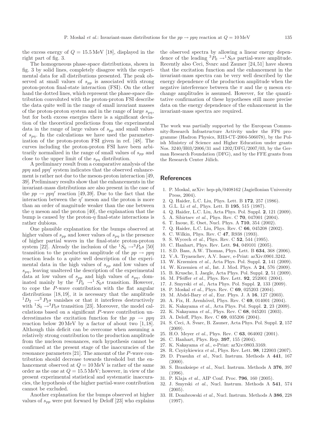the excess energy of  $Q = 15.5 \,\text{MeV}$  [18], displayed in the right part of fig. 3.

The homogeneous phase-space distributions, shown in fig. 3 by solid lines, completely disagree with the experimental data for all distributions presented. The peak observed at small values of  $s_{pp}$  is associated with strong proton-proton final-state interaction (FSI). On the other hand the dotted lines, which represent the phase-space distribution convoluted with the proton-proton FSI describe the data quite well in the range of small invariant masses of the proton-proton system and in the range of large  $s_{pn}$ , but for both excess energies there is a significant deviation of the theoretical predictions from the experimental data in the range of large values of  $s_{pp}$  and small values of  $s_{p\eta}$ . In the calculations we have used the parameterization of the proton-proton FSI given in ref. [48]. The curves including the proton-proton FSI have been arbitrarily normalized in the range of small values of  $s_{pp}$  and close to the upper limit of the  $s_{p\eta}$  distribution.

A preliminary result from a comparative analysis of the ppn and ppn' system indicates that the observed enhancement is rather not due to the meson-proton interaction [49, 39]. Preliminary results show that the enhancements in the invariant-mass distributions are also present in the case of the  $pp \rightarrow pp\eta'$  reaction [49,39]. Due to the fact that the interaction between the  $\eta'$  meson and the proton is more than an order of magnitude weaker than the one between the  $\eta$  meson and the proton [40], the explanation that the bump is caused by the proton- $\eta$  final-state interactions is rather dubious.

One plausible explanation for the bumps observed at higher values of  $s_{pp}$  and lower values of  $s_{pn}$  is the presence of higher partial waves in the final-state proton-proton system [22]. Already the inclusion of the  ${}^{1}S_{0} \rightarrow {}^{3}P_{0}s$  [50] transition to the production amplitude of the  $pp \rightarrow pp\eta$ reaction leads to a quite well description of the experimental data in the high values of  $s_{pp}$  and low values of  $s_{pn}$ , leaving unaltered the description of the experimental data at low values of  $s_{pp}$  and high values of  $s_{pp}$ , dominated mainly by the  ${}^{3}P_0 \rightarrow {}^{1}S_0 s$  transition. However, to cope the P-wave contribution with the flat angular distributions [18,19], it is necessary that the amplitude  ${}^{1}D_{2} \rightarrow {}^{3}P_{2}s$  vanishes or that it interferes destructively with  ${}^1S_0 \rightarrow {}^3P_0s$  transition [23]. Moreover, the model calculations based on a significant P-wave contribution underestimates the excitation function for the  $pp \rightarrow pp\eta$ reaction below 20 MeV by a factor of about two [1,18]. Although this deficit can be overcome when assuming a relatively strong contribution to the production amplitude from the nucleon resonances, such hypothesis cannot be confirmed at the present stage of the inaccuracies of the resonance parameters [21]. The amount of the P-wave contribution should decrease towards threshold but the enhancement observed at  $Q = 10 \,\text{MeV}$  is rather of the same order as the one at  $Q = 15.5 \,\text{MeV}$ ; however, in view of the present experimental statistical and systematic inaccuracies, the hypothesis of the higher partial-wave contribution cannot be excluded.

Another explanation for the bumps observed at higher values of  $s_{pp}$  were put forward by Deloff [23] who explains the observed spectra by allowing a linear energy dependence of the leading  ${}^3P_0 \rightarrow {}^1S_0s$  partial-wave amplitude. Recently also Ceci, Švarc and Zauner  $[24, 51]$  have shown that the excitation function and the enhancement in the invariant-mass spectra can be very well described by the energy dependence of the production amplitude when the negative interference between the  $\pi$  and the *n* meson exchange amplitudes is assumed. However, for the quantitative confirmation of these hypotheses still more precise data on the energy dependence of the enhancement in the invariant-mass spectra are required.

The work was partially supported by the European Community-Research Infrastructure Activity under the FP6 programme (Hadron Physics, RII3-CT-2004-506078), by the Polish Ministry of Science and Higher Education under grants Nos. 3240/H03/2006/31 and 1202/DFG/2007/03, by the German Research Foundation (DFG), and by the FFE grants from the Research Center Jülich.

#### References

- 1. P. Moskal, arXiv: hep-ph/0408162 (Jagiellonian University Press, 2004).
- 2. Q. Haider, L.C. Liu, Phys. Lett. B 172, 257 (1986).
- 3. G.L. Li et al., Phys. Lett. B 195, 515 (1987).
- 4. Q. Haider, L.C. Liu, Acta Phys. Pol. Suppl. 2, 121 (2009).
- 5. A. Sibirtsev et al., Phys. Rev. C 70, 047001 (2004).
- 6. T. Inoue, E. Oset, Nucl. Phys. A 710, 354 (2002).
- 7. Q. Haider, L.C. Liu, Phys. Rev. C 66, 045208 (2002).
- 8. C. Wilkin, Phys. Rev. C 47, R938 (1993).
- 9. S. Wycech et al., Phys. Rev. C 52, 544 (1995).
- 10. C. Hanhart, Phys. Rev. Lett. 94, 049101 (2005).
- 11. S.D. Bass, A.W. Thomas, Phys. Lett. B 634, 368 (2006).
- 12. V.A. Tryasuchev, A.V. Isaev, e-Print: arXiv:0901.3242.
- 13. W. Krzemien et al., Acta Phys. Pol. Suppl. 2, 141 (2009).
- 14. W. Krzemien et al., Int. J. Mod. Phys. A 24, 576 (2009).
- 15. B. Krusche, I. Jaegle, Acta Phys. Pol. Suppl. 2, 51 (2009).
- 16. M. Pfeiffer et al., Phys. Rev. Lett. 92, 252001 (2004).
- 17. J. Smyrski et al., Acta Phys. Pol. Suppl. 2, 133 (2009).
- 18. P. Moskal et al., Phys. Rev. C 69, 025203 (2004).
- 19. M. Abdel-Bary et al., Eur. Phys. J. A 16, 127 (2003).
- 20. A. Fix, H. Arenhövel, Phys. Rev. C 69, 014001 (2004).
- 21. K. Nakayama et al., Acta Phys. Pol. Suppl. 2, 23 (2009).
- 22. K. Nakayama et al., Phys. Rev. C 68, 045201 (2003).
- 23. A. Deloff, Phys. Rev. C 69, 035206 (2004).
- 24. S. Ceci, A. Švarc, B. Zauner, Acta Phys. Pol. Suppl. 2, 157  $(2009)$ .
- 25. H.O. Meyer et al., Phys. Rev. C 63, 064002 (2001).
- 26. C. Hanhart, Phys. Rep. 397, 155 (2004).
- 27. K. Nakayama et al., e-Print: arXiv:0803.3169.
- 28. R. Czyżykiewicz et al., Phys. Rev. Lett. 98, 122003 (2007).
- 29. D. Prasuhn et al., Nucl. Instrum. Methods A 441, 167  $(2000).$
- 30. S. Brauksiepe et al., Nucl. Instrum. Methods A 376, 397 (1996).
- 31. P. Klaja et al., AIP Conf. Proc. 796, 160 (2005).
- 32. J. Smyrski et al., Nucl. Instrum. Methods A 541, 574 (2005).
- 33. H. Dombrowski et al., Nucl. Instrum. Methods A 386, 228 (1997).